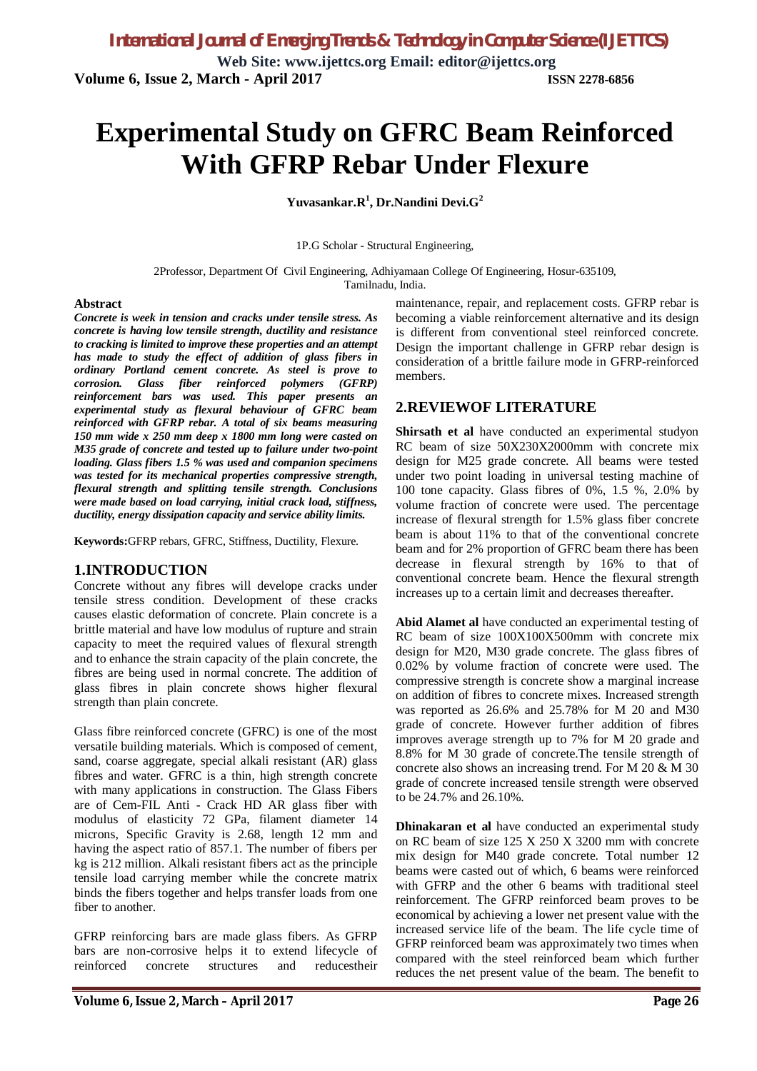# **Experimental Study on GFRC Beam Reinforced With GFRP Rebar Under Flexure**

**Yuvasankar.R<sup>1</sup> , Dr.Nandini Devi.G<sup>2</sup>**

1P.G Scholar - Structural Engineering,

2Professor, Department Of Civil Engineering, Adhiyamaan College Of Engineering, Hosur-635109,

Tamilnadu, India.

#### **Abstract**

*Concrete is week in tension and cracks under tensile stress. As concrete is having low tensile strength, ductility and resistance to cracking is limited to improve these properties and an attempt has made to study the effect of addition of glass fibers in ordinary Portland cement concrete. As steel is prove to corrosion. Glass fiber reinforced polymers (GFRP) reinforcement bars was used. This paper presents an experimental study as flexural behaviour of GFRC beam reinforced with GFRP rebar. A total of six beams measuring 150 mm wide x 250 mm deep x 1800 mm long were casted on M35 grade of concrete and tested up to failure under two-point loading. Glass fibers 1.5 % was used and companion specimens was tested for its mechanical properties compressive strength, flexural strength and splitting tensile strength. Conclusions were made based on load carrying, initial crack load, stiffness, ductility, energy dissipation capacity and service ability limits.*

**Keywords:**GFRP rebars, GFRC, Stiffness, Ductility, Flexure.

### **1.INTRODUCTION**

Concrete without any fibres will develope cracks under tensile stress condition. Development of these cracks causes elastic deformation of concrete. Plain concrete is a brittle material and have low modulus of rupture and strain capacity to meet the required values of flexural strength and to enhance the strain capacity of the plain concrete, the fibres are being used in normal concrete. The addition of glass fibres in plain concrete shows higher flexural strength than plain concrete.

Glass fibre reinforced concrete (GFRC) is one of the most versatile building materials. Which is composed of cement, sand, coarse aggregate, special alkali resistant (AR) glass fibres and water. GFRC is a thin, high strength concrete with many applications in construction. The Glass Fibers are of Cem-FIL Anti - Crack HD AR glass fiber with modulus of elasticity 72 GPa, filament diameter 14 microns, Specific Gravity is 2.68, length 12 mm and having the aspect ratio of 857.1. The number of fibers per kg is 212 million. Alkali resistant fibers act as the principle tensile load carrying member while the concrete matrix binds the fibers together and helps transfer loads from one fiber to another.

GFRP reinforcing bars are made glass fibers. As GFRP bars are non-corrosive helps it to extend lifecycle of reinforced concrete structures and reducestheir

maintenance, repair, and replacement costs. GFRP rebar is becoming a viable reinforcement alternative and its design is different from conventional steel reinforced concrete. Design the important challenge in GFRP rebar design is consideration of a brittle failure mode in GFRP-reinforced members.

### **2.REVIEWOF LITERATURE**

**Shirsath et al** have conducted an experimental studyon RC beam of size 50X230X2000mm with concrete mix design for M25 grade concrete. All beams were tested under two point loading in universal testing machine of 100 tone capacity. Glass fibres of 0%, 1.5 %, 2.0% by volume fraction of concrete were used. The percentage increase of flexural strength for 1.5% glass fiber concrete beam is about 11% to that of the conventional concrete beam and for 2% proportion of GFRC beam there has been decrease in flexural strength by 16% to that of conventional concrete beam. Hence the flexural strength increases up to a certain limit and decreases thereafter.

**Abid Alamet al** have conducted an experimental testing of RC beam of size 100X100X500mm with concrete mix design for M20, M30 grade concrete. The glass fibres of 0.02% by volume fraction of concrete were used. The compressive strength is concrete show a marginal increase on addition of fibres to concrete mixes. Increased strength was reported as 26.6% and 25.78% for M 20 and M30 grade of concrete. However further addition of fibres improves average strength up to 7% for M 20 grade and 8.8% for M 30 grade of concrete.The tensile strength of concrete also shows an increasing trend. For M 20 & M 30 grade of concrete increased tensile strength were observed to be 24.7% and 26.10%.

**Dhinakaran et al** have conducted an experimental study on RC beam of size 125 X 250 X 3200 mm with concrete mix design for M40 grade concrete. Total number 12 beams were casted out of which, 6 beams were reinforced with GFRP and the other 6 beams with traditional steel reinforcement. The GFRP reinforced beam proves to be economical by achieving a lower net present value with the increased service life of the beam. The life cycle time of GFRP reinforced beam was approximately two times when compared with the steel reinforced beam which further reduces the net present value of the beam. The benefit to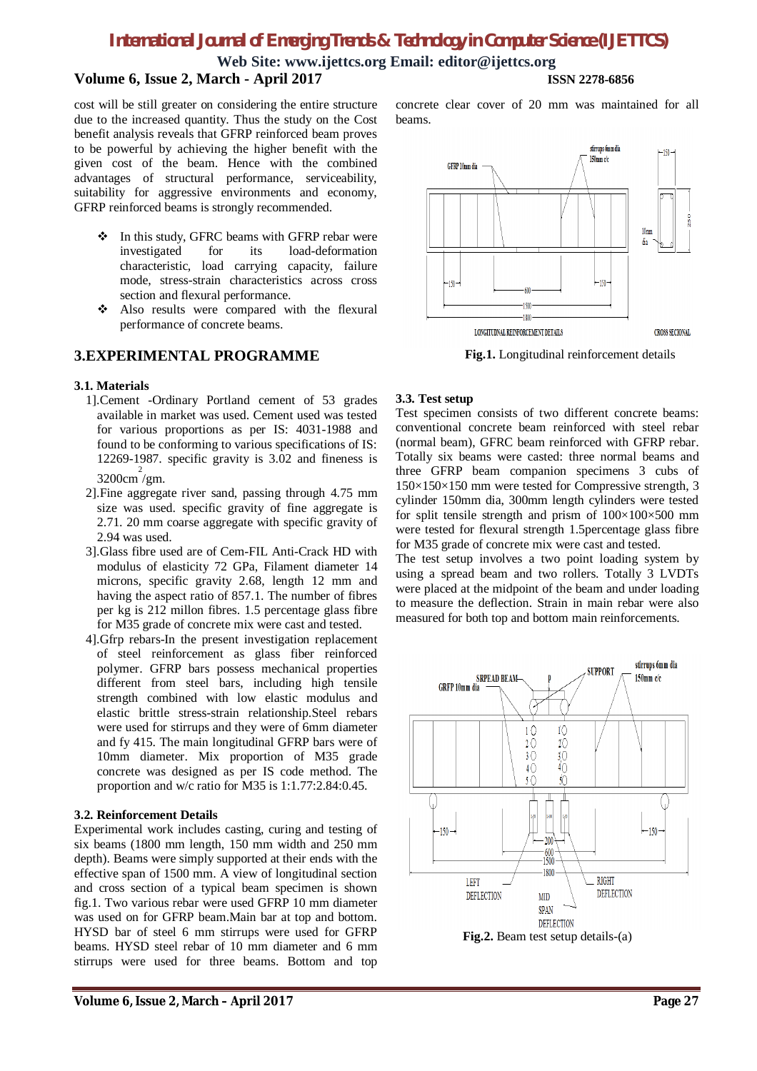**Web Site: [www.ijettcs.org](http://www.ijettcs.org) Email: [editor@ijettcs.org](mailto:editor@ijettcs.org)**

# **Volume 6, Issue 2, March - April 2017 ISSN 2278-6856**

cost will be still greater on considering the entire structure due to the increased quantity. Thus the study on the Cost benefit analysis reveals that GFRP reinforced beam proves to be powerful by achieving the higher benefit with the given cost of the beam. Hence with the combined advantages of structural performance, serviceability, suitability for aggressive environments and economy, GFRP reinforced beams is strongly recommended.

- ❖ In this study, GFRC beams with GFRP rebar were investigated for its load-deformation characteristic, load carrying capacity, failure mode, stress-strain characteristics across cross section and flexural performance.
- Also results were compared with the flexural performance of concrete beams.

### **3.EXPERIMENTAL PROGRAMME**

#### **3.1. Materials**

- 1].Cement -Ordinary Portland cement of 53 grades available in market was used. Cement used was tested for various proportions as per IS: 4031-1988 and found to be conforming to various specifications of IS: 12269-1987. specific gravity is  $3.\overline{0}2$  and fineness is 3200cm 2 /gm.
- 2].Fine aggregate river sand, passing through 4.75 mm size was used. specific gravity of fine aggregate is 2.71. 20 mm coarse aggregate with specific gravity of 2.94 was used.
- 3].Glass fibre used are of Cem-FIL Anti-Crack HD with modulus of elasticity 72 GPa, Filament diameter 14 microns, specific gravity 2.68, length 12 mm and having the aspect ratio of 857.1. The number of fibres per kg is 212 millon fibres. 1.5 percentage glass fibre for M35 grade of concrete mix were cast and tested.
- 4].Gfrp rebars-In the present investigation replacement of steel reinforcement as glass fiber reinforced polymer. GFRP bars possess mechanical properties different from steel bars, including high tensile strength combined with low elastic modulus and elastic brittle stress-strain relationship.Steel rebars were used for stirrups and they were of 6mm diameter and fy 415. The main longitudinal GFRP bars were of 10mm diameter. Mix proportion of M35 grade concrete was designed as per IS code method. The proportion and w/c ratio for M35 is 1:1.77:2.84:0.45.

#### **3.2. Reinforcement Details**

Experimental work includes casting, curing and testing of six beams (1800 mm length, 150 mm width and 250 mm depth). Beams were simply supported at their ends with the effective span of 1500 mm. A view of longitudinal section and cross section of a typical beam specimen is shown fig.1. Two various rebar were used GFRP 10 mm diameter was used on for GFRP beam.Main bar at top and bottom. HYSD bar of steel 6 mm stirrups were used for GFRP beams. HYSD steel rebar of 10 mm diameter and 6 mm stirrups were used for three beams. Bottom and top

concrete clear cover of 20 mm was maintained for all beams.



**Fig.1.** Longitudinal reinforcement details

#### **3.3. Test setup**

Test specimen consists of two different concrete beams: conventional concrete beam reinforced with steel rebar (normal beam), GFRC beam reinforced with GFRP rebar. Totally six beams were casted: three normal beams and three GFRP beam companion specimens 3 cubs of 150×150×150 mm were tested for Compressive strength, 3 cylinder 150mm dia, 300mm length cylinders were tested for split tensile strength and prism of 100×100×500 mm were tested for flexural strength 1.5percentage glass fibre for M35 grade of concrete mix were cast and tested.

The test setup involves a two point loading system by using a spread beam and two rollers. Totally 3 LVDTs were placed at the midpoint of the beam and under loading to measure the deflection. Strain in main rebar were also measured for both top and bottom main reinforcements.

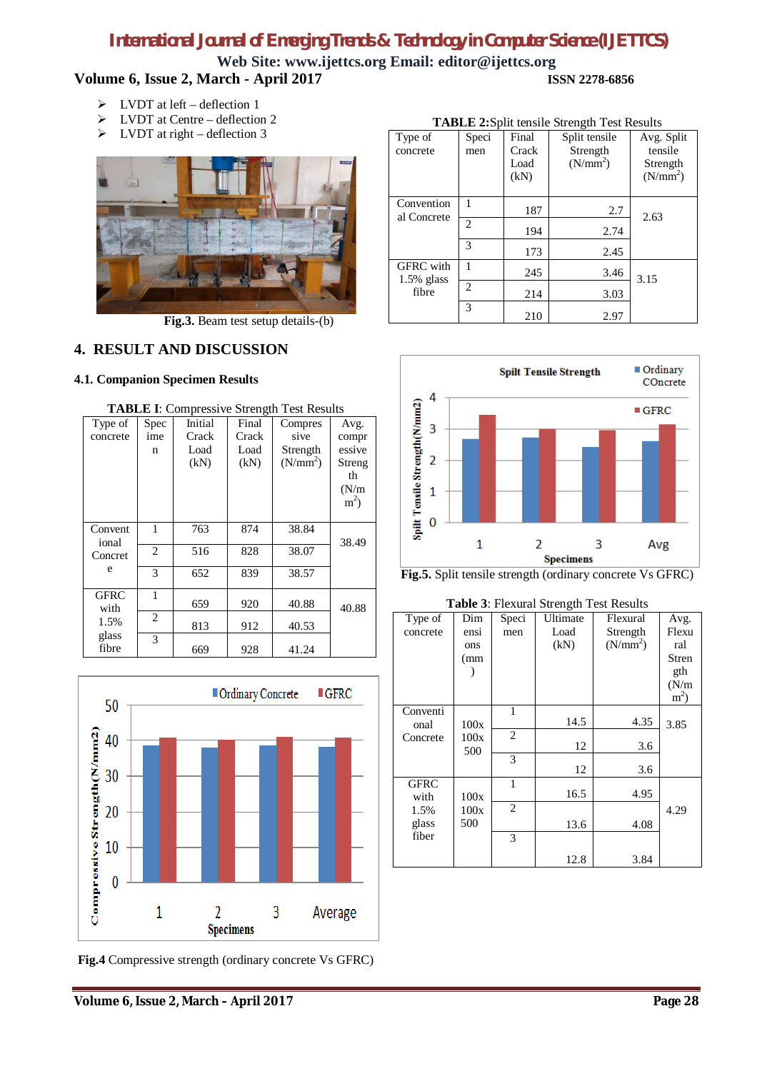**Web Site: [www.ijettcs.org](http://www.ijettcs.org) Email: [editor@ijettcs.org](mailto:editor@ijettcs.org) Volume 6, Issue 2, March - April 2017 ISSN 2278-6856**

- $\triangleright$  LVDT at left deflection 1
- $\triangleright$  LVDT at Centre deflection 2
- $\triangleright$  LVDT at right deflection 3



**Fig.3.** Beam test setup details-(b)

## **4. RESULT AND DISCUSSION**

### **4.1. Companion Specimen Results**

| <b>TABLE I:</b> Compressive Strength Test Results |                |         |       |                      |                |
|---------------------------------------------------|----------------|---------|-------|----------------------|----------------|
| Type of                                           | Spec           | Initial | Final | Compres              | Avg.           |
| concrete                                          | ime            | Crack   | Crack | sive                 | compr          |
|                                                   | n              | Load    | Load  | Strength             | essive         |
|                                                   |                | (kN)    | (kN)  | (N/mm <sup>2</sup> ) | Streng         |
|                                                   |                |         |       |                      | th             |
|                                                   |                |         |       |                      | (N/m)          |
|                                                   |                |         |       |                      | m <sup>2</sup> |
|                                                   |                |         |       |                      |                |
| Convent                                           | 1              | 763     | 874   | 38.84                |                |
| ional                                             |                |         |       |                      | 38.49          |
| Concret                                           | $\overline{2}$ | 516     | 828   | 38.07                |                |
| e                                                 | 3              | 652     | 839   | 38.57                |                |
|                                                   |                |         |       |                      |                |
| GFRC                                              | 1              |         |       |                      |                |
| with                                              |                | 659     | 920   | 40.88                | 40.88          |
| 1.5%                                              | 2              | 813     | 912   | 40.53                |                |
| glass                                             | 3              |         |       |                      |                |
| fibre                                             |                | 669     | 928   | 41.24                |                |



**Fig.4** Compressive strength (ordinary concrete Vs GFRC)

| <b>TABLE 2:Split tensile Strength Test Results</b> |                |                                |                                                   |                                                           |  |
|----------------------------------------------------|----------------|--------------------------------|---------------------------------------------------|-----------------------------------------------------------|--|
| Type of<br>concrete                                | Speci<br>men   | Final<br>Crack<br>Load<br>(kN) | Split tensile<br>Strength<br>(N/mm <sup>2</sup> ) | Avg. Split<br>tensile<br>Strength<br>(N/mm <sup>2</sup> ) |  |
| Convention<br>al Concrete                          |                | 187                            | 2.7                                               | 2.63                                                      |  |
|                                                    | $\overline{c}$ | 194                            | 2.74                                              |                                                           |  |
|                                                    | 3              | 173                            | 2.45                                              |                                                           |  |
| <b>GFRC</b> with<br>$1.5\%$ glass                  | 1              | 245                            | 3.46                                              | 3.15                                                      |  |
| fibre                                              | $\overline{c}$ | 214                            | 3.03                                              |                                                           |  |
|                                                    | 3              | 210                            | 2.97                                              |                                                           |  |





**Table 3**: Flexural Strength Test Results

| Type of<br>concrete | Dim<br>ensi<br>ons<br>(mm | Speci<br>men   | Ultimate<br>Load<br>(kN) | Flexural<br>Strength<br>(N/mm <sup>2</sup> ) | Avg.<br>Flexu<br>ral<br>Stren<br>gth<br>(N/m)<br>m <sup>2</sup> |
|---------------------|---------------------------|----------------|--------------------------|----------------------------------------------|-----------------------------------------------------------------|
| Conventi<br>onal    | 100x                      | 1              | 14.5                     | 4.35                                         | 3.85                                                            |
| Concrete            | 100x<br>500               | $\overline{c}$ | 12                       | 3.6                                          |                                                                 |
|                     |                           | 3              | 12                       | 3.6                                          |                                                                 |
| <b>GFRC</b><br>with | 100x                      | 1              | 16.5                     | 4.95                                         |                                                                 |
| 1.5%                | 100x                      | $\overline{c}$ |                          |                                              | 4.29                                                            |
| glass               | 500                       |                | 13.6                     | 4.08                                         |                                                                 |
| fiber               |                           | 3              |                          |                                              |                                                                 |
|                     |                           |                | 12.8                     | 3.84                                         |                                                                 |

## **Volume 6, Issue 2, March – April 2017 Page 28**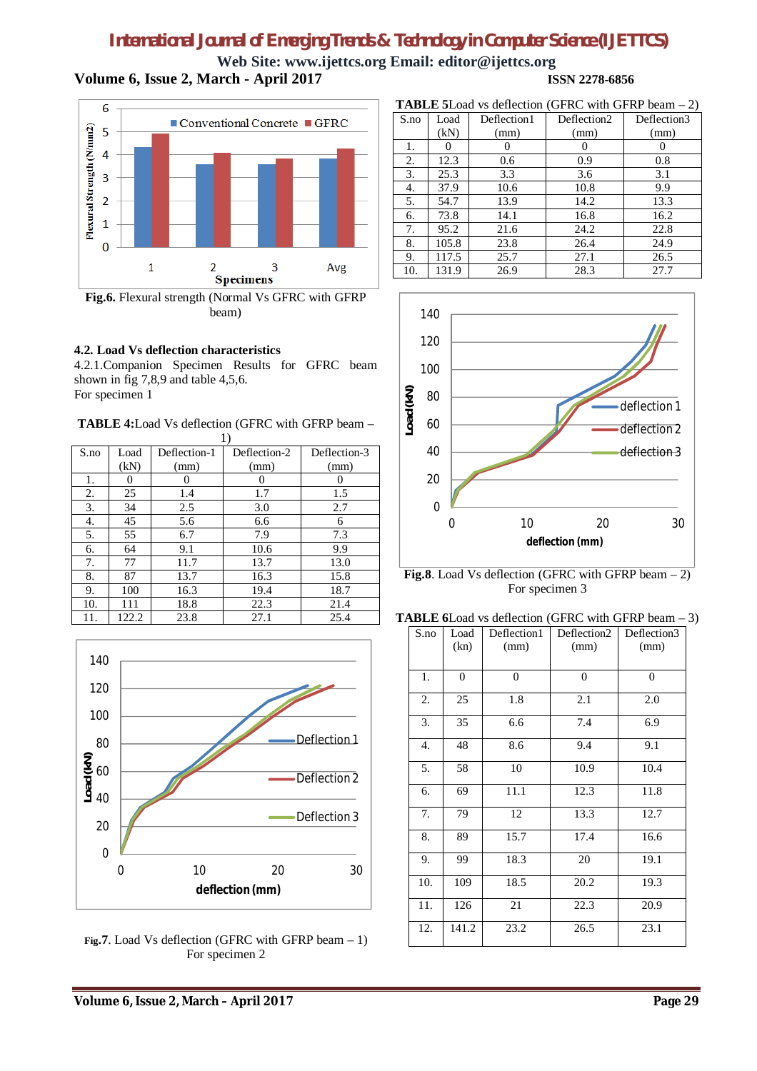# *International Journal of Emerging Trends & Technology in Computer Science (IJETTCS)* **Web Site: [www.ijettcs.org](http://www.ijettcs.org) Email: [editor@ijettcs.org](mailto:editor@ijettcs.org)**

**Volume 6, Issue 2, March - April 2017 ISSN 2278-6856**



**Fig.6.** Flexural strength (Normal Vs GFRC with GFRP beam)

### **4.2. Load Vs deflection characteristics**

4.2.1.Companion Specimen Results for GFRC beam shown in fig 7,8,9 and table 4,5,6. For specimen 1

**TABLE 4:**Load Vs deflection (GFRC with GFRP beam –

| S.no | Load  | Deflection-1 | Deflection-2 | Deflection-3 |
|------|-------|--------------|--------------|--------------|
|      | (kN)  | (mm)         | (mm)         | (mm)         |
| 1.   | 0     | $_{0}$       | $\mathbf{0}$ |              |
| 2.   | 25    | 1.4          | 1.7          | 1.5          |
| 3.   | 34    | 2.5          | 3.0          | 2.7          |
| 4.   | 45    | 5.6          | 6.6          | 6            |
| 5.   | 55    | 6.7          | 7.9          | 7.3          |
| 6.   | 64    | 9.1          | 10.6         | 9.9          |
| 7.   | 77    | 11.7         | 13.7         | 13.0         |
| 8.   | 87    | 13.7         | 16.3         | 15.8         |
| 9.   | 100   | 16.3         | 19.4         | 18.7         |
| 10.  | 111   | 18.8         | 22.3         | 21.4         |
| 11.  | 122.2 | 23.8         | 27.1         | 25.4         |



**Fig.7**. Load Vs deflection (GFRC with GFRP beam – 1) For specimen 2

| <b>TABLE 5</b> Load vs deflection (GFRC with GFRP beam $-2$ ) |       |             |             |             |  |
|---------------------------------------------------------------|-------|-------------|-------------|-------------|--|
| S.no                                                          | Load  | Deflection1 | Deflection2 | Deflection3 |  |
|                                                               | (kN)  | (mm)        | (mm)        | (mm)        |  |
| 1.                                                            |       |             |             |             |  |
| 2.                                                            | 12.3  | 0.6         | 0.9         | 0.8         |  |
| 3.                                                            | 25.3  | 3.3         | 3.6         | 3.1         |  |
| 4.                                                            | 37.9  | 10.6        | 10.8        | 9.9         |  |
| 5.                                                            | 54.7  | 13.9        | 14.2        | 13.3        |  |
| 6.                                                            | 73.8  | 14.1        | 16.8        | 16.2        |  |
| 7.                                                            | 95.2  | 21.6        | 24.2        | 22.8        |  |
| 8.                                                            | 105.8 | 23.8        | 26.4        | 24.9        |  |

9. | 117.5 | 25.7 | 27.1 | 26.5



**Fig.8**. Load Vs deflection (GFRC with GFRP beam – 2) For specimen 3

| <b>TABLE 6</b> Load vs deflection (GFRC with GFRP beam $-3$ ) |  |  |
|---------------------------------------------------------------|--|--|
|                                                               |  |  |

| S.no | Load     | Deflection1    | Deflection2    | Deflection3    |
|------|----------|----------------|----------------|----------------|
|      | (kn)     | (mm)           | (mm)           | (mm)           |
|      |          |                |                |                |
| 1.   | $\theta$ | $\overline{0}$ | $\overline{0}$ | $\overline{0}$ |
| 2.   | 25       | 1.8            | 2.1            | 2.0            |
| 3.   | 35       | 6.6            | 7.4            | 6.9            |
| 4.   | 48       | 8.6            | 9.4            | 9.1            |
| 5.   | 58       | 10             | 10.9           | 10.4           |
| 6.   | 69       | 11.1           | 12.3           | 11.8           |
| 7.   | 79       | 12             | 13.3           | 12.7           |
| 8.   | 89       | 15.7           | 17.4           | 16.6           |
| 9.   | 99       | 18.3           | 20             | 19.1           |
| 10.  | 109      | 18.5           | 20.2           | 19.3           |
| 11.  | 126      | 21             | 22.3           | 20.9           |
| 12.  | 141.2    | 23.2           | 26.5           | 23.1           |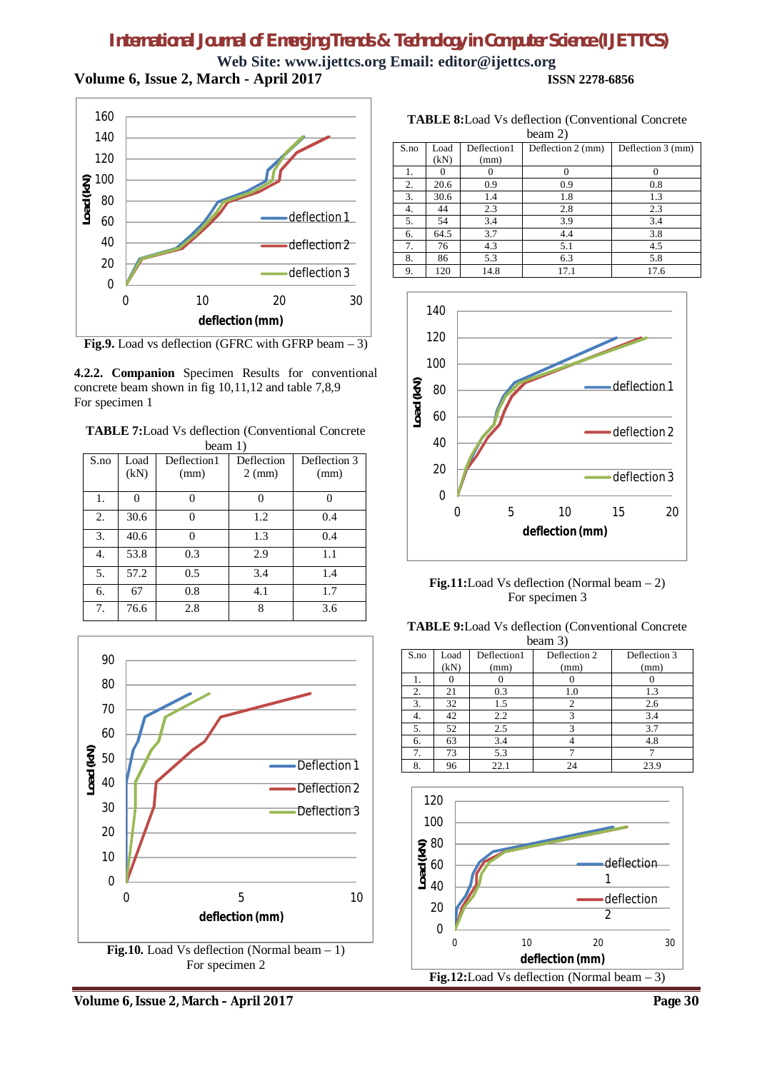# *International Journal of Emerging Trends & Technology in Computer Science (IJETTCS)* **Web Site: [www.ijettcs.org](http://www.ijettcs.org) Email: [editor@ijettcs.org](mailto:editor@ijettcs.org)**

**Volume 6, Issue 2, March - April 2017 ISSN 2278-6856**



Fig.9. Load vs deflection (GFRC with GFRP beam – 3)

**4.2.2. Companion** Specimen Results for conventional concrete beam shown in fig 10,11,12 and table 7,8,9 For specimen 1

**TABLE 7:**Load Vs deflection (Conventional Concrete beam 1)

|      | beailt 1) |             |                  |              |  |
|------|-----------|-------------|------------------|--------------|--|
| S.no | Load      | Deflection1 | Deflection       | Deflection 3 |  |
|      | (kN)      | (mm)        | $2 \text{ (mm)}$ | (mm)         |  |
|      |           |             |                  |              |  |
| 1.   | 0         |             |                  |              |  |
| 2.   | 30.6      |             | 1.2              | 0.4          |  |
| 3.   | 40.6      |             | 1.3              | 0.4          |  |
| 4.   | 53.8      | 0.3         | 2.9              | 1.1          |  |
| 5.   | 57.2      | 0.5         | 3.4              | 1.4          |  |
| 6.   | 67        | 0.8         | 4.1              | 1.7          |  |
| 7.   | 76.6      | 2.8         | 8                | 3.6          |  |



**TABLE 8:**Load Vs deflection (Conventional Concrete beam 2)

| $U$ calii $\angle$ ) |      |             |                   |                   |  |
|----------------------|------|-------------|-------------------|-------------------|--|
| S.no                 | Load | Deflection1 | Deflection 2 (mm) | Deflection 3 (mm) |  |
|                      | (kN) | (mm)        |                   |                   |  |
| 1.                   |      |             | 0                 |                   |  |
| 2.                   | 20.6 | 0.9         | 0.9               | 0.8               |  |
| 3.                   | 30.6 | 1.4         | 1.8               | 1.3               |  |
| 4.                   | 44   | 2.3         | 2.8               | 2.3               |  |
| 5.                   | 54   | 3.4         | 3.9               | 3.4               |  |
| 6.                   | 64.5 | 3.7         | 4.4               | 3.8               |  |
| 7.                   | 76   | 4.3         | 5.1               | 4.5               |  |
| 8.                   | 86   | 5.3         | 6.3               | 5.8               |  |
| 9.                   | 120  | 14.8        | 17.1              | 17.6              |  |



**Fig.11:**Load Vs deflection (Normal beam – 2) For specimen 3

**TABLE 9:**Load Vs deflection (Conventional Concrete beam 3)

| S.no | Load | Deflection1 | Deflection 2 | Deflection 3 |
|------|------|-------------|--------------|--------------|
|      | (kN) | (mm)        | (mm)         | (mm)         |
|      |      |             |              |              |
| 2.   | 21   | 0.3         | 1.0          | 1.3          |
| 3.   | 32   | 1.5         |              | 2.6          |
| 4.   | 42   | 2.2         | 3            | 3.4          |
| 5.   | 52   | 2.5         | 3            | 3.7          |
| 6.   | 63   | 3.4         |              | 4.8          |
|      | 73   | 5.3         |              |              |
| 8.   | 96   | 22.1        | 24           | 23.9         |

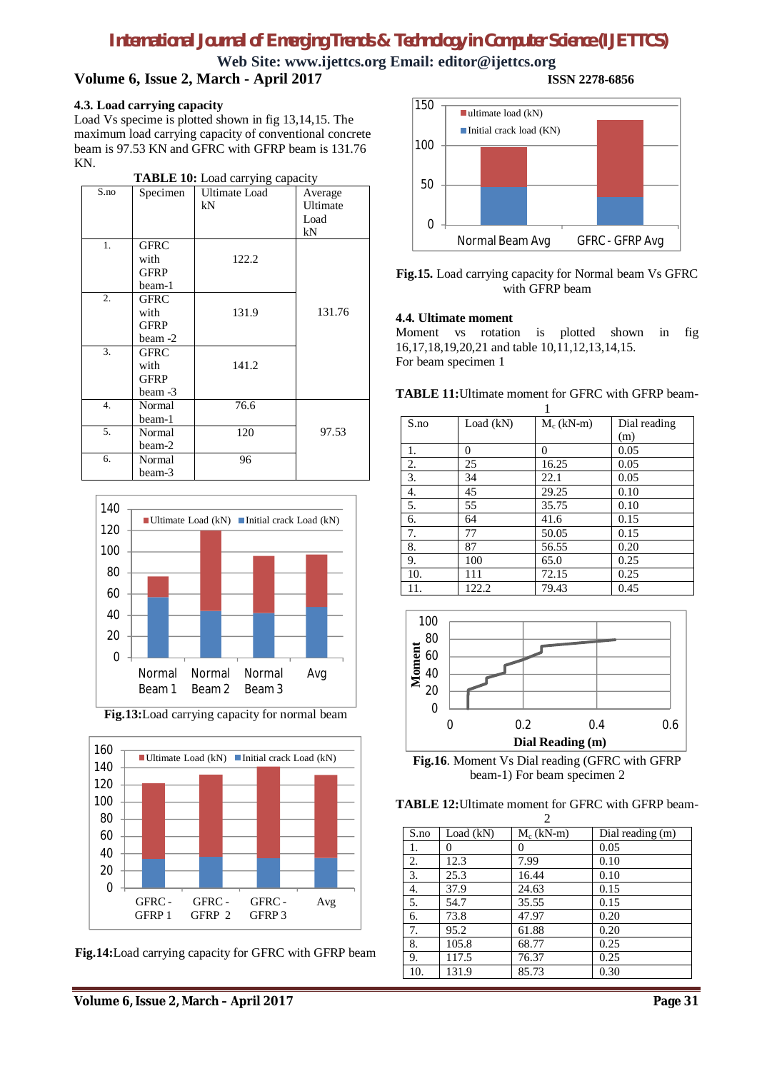**Web Site: [www.ijettcs.org](http://www.ijettcs.org) Email: [editor@ijettcs.org](mailto:editor@ijettcs.org) Volume 6, Issue 2, March - April 2017 ISSN 2278-6856**

### **4.3. Load carrying capacity**

Load Vs specime is plotted shown in fig 13,14,15. The maximum load carrying capacity of conventional concrete beam is 97.53 KN and GFRC with GFRP beam is 131.76 KN.

| <b>TABLE 10:</b> Load carrying capacity |             |                      |          |  |  |
|-----------------------------------------|-------------|----------------------|----------|--|--|
| S.no                                    | Specimen    | <b>Ultimate Load</b> | Average  |  |  |
|                                         |             | kN                   | Ultimate |  |  |
|                                         |             |                      | Load     |  |  |
|                                         |             |                      | kN       |  |  |
| 1.                                      | <b>GFRC</b> |                      |          |  |  |
|                                         | with        | 122.2                |          |  |  |
|                                         | <b>GFRP</b> |                      |          |  |  |
|                                         | beam-1      |                      |          |  |  |
| 2.                                      | <b>GFRC</b> |                      |          |  |  |
|                                         | with        | 131.9                | 131.76   |  |  |
|                                         | <b>GFRP</b> |                      |          |  |  |
|                                         | beam -2     |                      |          |  |  |
| 3.                                      | <b>GFRC</b> |                      |          |  |  |
|                                         | with        | 141.2                |          |  |  |
|                                         | <b>GFRP</b> |                      |          |  |  |
|                                         | beam -3     |                      |          |  |  |
| 4.                                      | Normal      | 76.6                 |          |  |  |
|                                         | beam-1      |                      |          |  |  |
| 5.                                      | Normal      | 120                  | 97.53    |  |  |
|                                         | beam-2      |                      |          |  |  |
| 6.                                      | Normal      | 96                   |          |  |  |
|                                         | beam-3      |                      |          |  |  |



**Fig.13:**Load carrying capacity for normal beam



**Fig.14:**Load carrying capacity for GFRC with GFRP beam



**Fig.15.** Load carrying capacity for Normal beam Vs GFRC with GFRP beam

### **4.4. Ultimate moment**

Moment vs rotation is plotted shown in fig 16,17,18,19,20,21 and table 10,11,12,13,14,15. For beam specimen 1

**TABLE 11:**Ultimate moment for GFRC with GFRP beam-

| S.no | Load (kN) | $M_c$ (kN-m) | Dial reading |
|------|-----------|--------------|--------------|
|      |           |              | (m)          |
| 1.   | $\Omega$  | $\Omega$     | 0.05         |
| 2.   | 25        | 16.25        | 0.05         |
| 3.   | 34        | 22.1         | 0.05         |
| 4.   | 45        | 29.25        | 0.10         |
| 5.   | 55        | 35.75        | 0.10         |
| 6.   | 64        | 41.6         | 0.15         |
| 7.   | 77        | 50.05        | 0.15         |
| 8.   | 87        | 56.55        | 0.20         |
| 9.   | 100       | 65.0         | 0.25         |
| 10.  | 111       | 72.15        | 0.25         |
| 11.  | 122.2     | 79.43        | 0.45         |



**Fig.16**. Moment Vs Dial reading (GFRC with GFRP beam-1) For beam specimen 2

**TABLE 12:**Ultimate moment for GFRC with GFRP beam-

| 2    |           |              |                  |  |
|------|-----------|--------------|------------------|--|
| S.no | Load (kN) | $M_c$ (kN-m) | Dial reading (m) |  |
| 1.   | 0         | 0            | 0.05             |  |
| 2.   | 12.3      | 7.99         | 0.10             |  |
| 3.   | 25.3      | 16.44        | 0.10             |  |
| 4.   | 37.9      | 24.63        | 0.15             |  |
| 5.   | 54.7      | 35.55        | 0.15             |  |
| 6.   | 73.8      | 47.97        | 0.20             |  |
| 7.   | 95.2      | 61.88        | 0.20             |  |
| 8.   | 105.8     | 68.77        | 0.25             |  |
| 9.   | 117.5     | 76.37        | 0.25             |  |
| 10.  | 131.9     | 85.73        | 0.30             |  |

**Volume 6, Issue 2, March – April 2017 Page 31**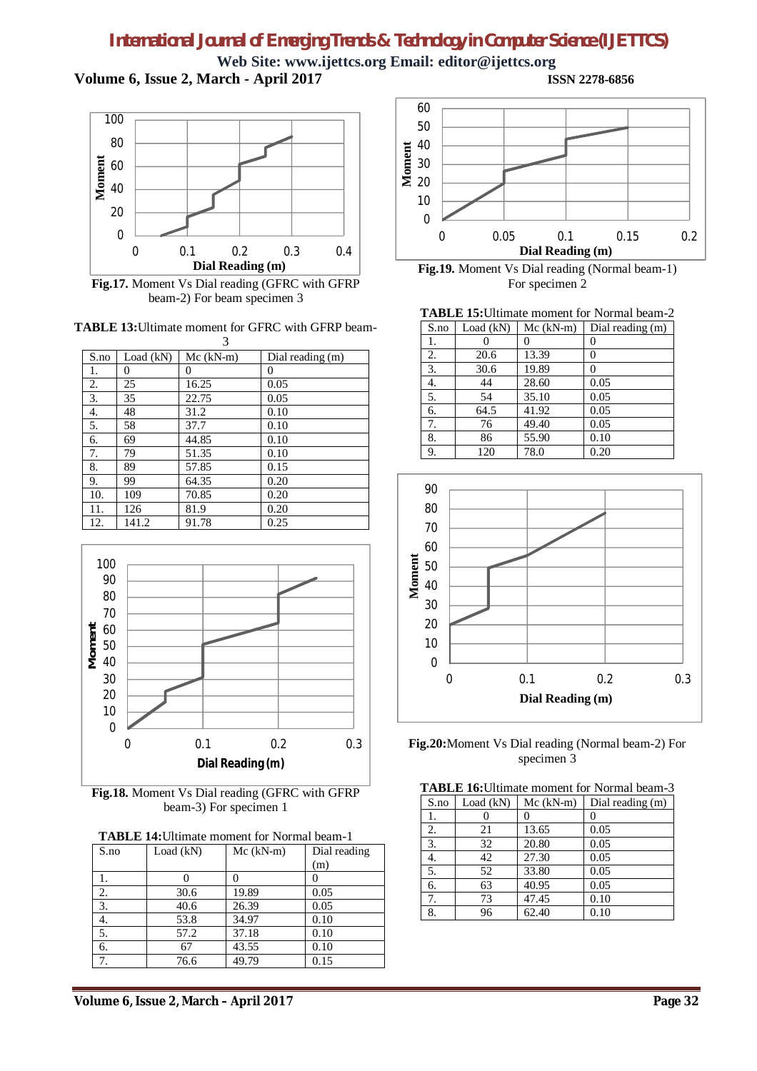**Web Site: [www.ijettcs.org](http://www.ijettcs.org) Email: [editor@ijettcs.org](mailto:editor@ijettcs.org) Volume 6, Issue 2, March - April 2017 ISSN 2278-6856**



**Fig.17.** Moment Vs Dial reading (GFRC with GFRP beam-2) For beam specimen 3

**TABLE 13:**Ultimate moment for GFRC with GFRP beam- $\overline{\mathbf{3}}$ 

|      |           | ◡           |                  |
|------|-----------|-------------|------------------|
| S.no | Load (kN) | $Mc (kN-m)$ | Dial reading (m) |
| 1.   | 0         | 0           | 0                |
| 2.   | 25        | 16.25       | 0.05             |
| 3.   | 35        | 22.75       | 0.05             |
| 4.   | 48        | 31.2        | 0.10             |
| 5.   | 58        | 37.7        | 0.10             |
| 6.   | 69        | 44.85       | 0.10             |
| 7.   | 79        | 51.35       | 0.10             |
| 8.   | 89        | 57.85       | 0.15             |
| 9.   | 99        | 64.35       | 0.20             |
| 10.  | 109       | 70.85       | 0.20             |
| 11.  | 126       | 81.9        | 0.20             |
| 12.  | 141.2     | 91.78       | 0.25             |



**Fig.18.** Moment Vs Dial reading (GFRC with GFRP beam-3) For specimen 1

| <b>TABLE 14: Ultimate moment for Normal beam-1</b> |  |  |  |
|----------------------------------------------------|--|--|--|
|----------------------------------------------------|--|--|--|

| S.no | Load (kN) | $Mc (kN-m)$ | Dial reading |
|------|-----------|-------------|--------------|
|      |           |             | (m)          |
|      |           |             |              |
| 2.   | 30.6      | 19.89       | 0.05         |
| 3.   | 40.6      | 26.39       | 0.05         |
|      | 53.8      | 34.97       | 0.10         |
| 5.   | 57.2      | 37.18       | 0.10         |
| 6.   | 67        | 43.55       | 0.10         |
|      | 76.6      | 49.79       | 0.15         |



**Fig.19.** Moment Vs Dial reading (Normal beam-1) For specimen 2

|  | <b>TABLE 15:</b> Ultimate moment for Normal beam-2 |  |
|--|----------------------------------------------------|--|
|  |                                                    |  |

| S.no | Load (kN) | $Mc (kN-m)$ | Dial reading (m) |
|------|-----------|-------------|------------------|
| 1.   |           |             |                  |
| 2.   | 20.6      | 13.39       |                  |
| 3.   | 30.6      | 19.89       |                  |
| 4.   | 44        | 28.60       | 0.05             |
| 5.   | 54        | 35.10       | 0.05             |
| 6.   | 64.5      | 41.92       | 0.05             |
| 7.   | 76        | 49.40       | 0.05             |
| 8.   | 86        | 55.90       | 0.10             |
| 9.   | 120       | 78.0        | 0.20             |



**Fig.20:**Moment Vs Dial reading (Normal beam-2) For specimen 3

|  |  | <b>TABLE 16:</b> Ultimate moment for Normal beam-3 |
|--|--|----------------------------------------------------|
|  |  | S.no Load (kN) Mc (kN-m) Dial reading (m)          |
|  |  |                                                    |

| D.IIU | LUAU (NIV) | $NIC$ (AT $\sim$ 111) | Dial reading (iii) |
|-------|------------|-----------------------|--------------------|
| ı.    |            |                       |                    |
| 2.    | 21         | 13.65                 | 0.05               |
| 3.    | 32         | 20.80                 | 0.05               |
| 4.    | 42         | 27.30                 | 0.05               |
| 5.    | 52         | 33.80                 | 0.05               |
| 6.    | 63         | 40.95                 | 0.05               |
| 7.    | 73         | 47.45                 | 0.10               |
| 8.    | 96         | 62.40                 | 0.10               |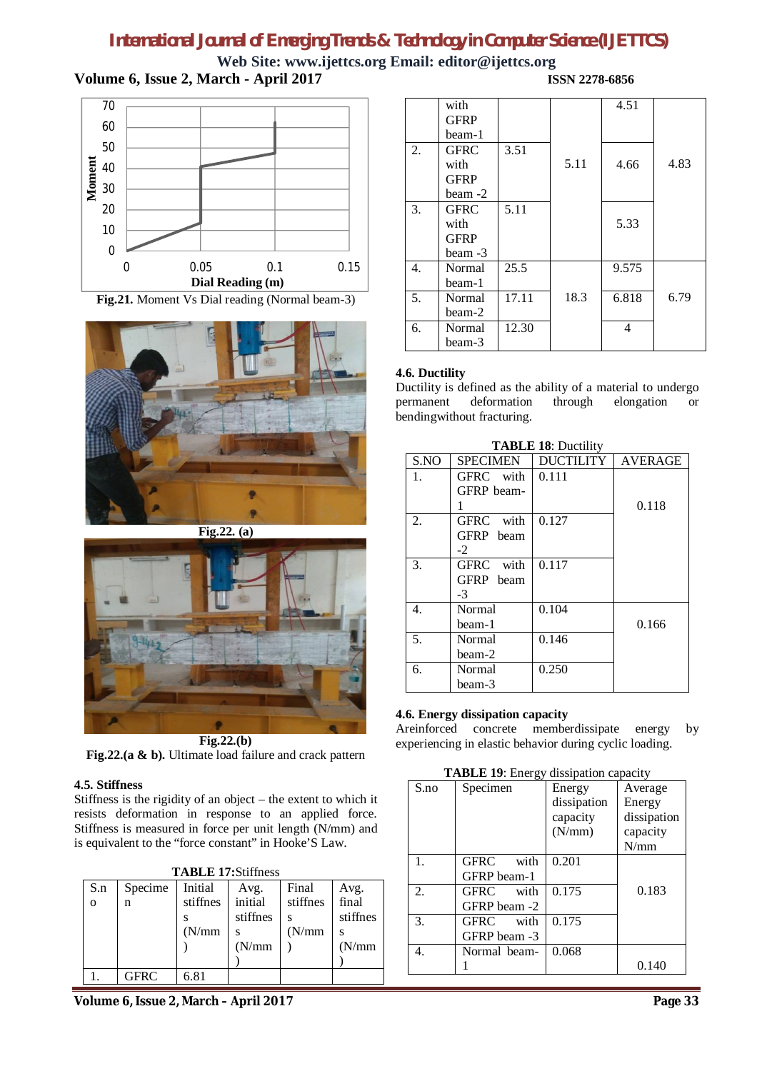**Web Site: [www.ijettcs.org](http://www.ijettcs.org) Email: [editor@ijettcs.org](mailto:editor@ijettcs.org) Volume 6, Issue 2, March - April 2017 ISSN 2278-6856**



**Fig.21.** Moment Vs Dial reading (Normal beam-3)



**Fig.22. (a)**



**Fig.22.(a & b).** Ultimate load failure and crack pattern

### **4.5. Stiffness**

Stiffness is the rigidity of an object – the extent to which it resists deformation in response to an applied force. Stiffness is measured in force per unit length (N/mm) and is equivalent to the "force constant" in Hooke'S Law.

|          | <b>TABLE 17:Stiffness</b> |          |          |          |               |  |
|----------|---------------------------|----------|----------|----------|---------------|--|
| S.n      | Specime                   | Initial  | Avg.     | Final    | Avg.<br>final |  |
| $\Omega$ | n                         | stiffnes | initial  | stiffnes |               |  |
|          |                           |          | stiffnes |          | stiffnes      |  |
|          |                           | (N/mm)   |          | (N/mm)   |               |  |
|          |                           |          | (N/mm)   |          | (N/mm)        |  |
|          |                           |          |          |          |               |  |
|          | GFRC                      | 6.81     |          |          |               |  |

|    | with<br><b>GFRP</b><br>beam-1                    |       |      | 4.51  |      |
|----|--------------------------------------------------|-------|------|-------|------|
| 2. | <b>GFRC</b><br>with<br><b>GFRP</b><br>beam -2    | 3.51  | 5.11 | 4.66  | 4.83 |
| 3. | <b>GFRC</b><br>with<br><b>GFRP</b><br>$beam - 3$ | 5.11  |      | 5.33  |      |
| 4. | Normal<br>beam-1                                 | 25.5  |      | 9.575 |      |
| 5. | Normal<br>beam-2                                 | 17.11 | 18.3 | 6.818 | 6.79 |
| 6. | Normal<br>beam-3                                 | 12.30 |      | 4     |      |

### **4.6. Ductility**

Ductility is defined as the ability of a material to undergo permanent deformation through elongation or bendingwithout fracturing.

| <b>TABLE 18: Ductility</b> |                     |                  |                |  |  |
|----------------------------|---------------------|------------------|----------------|--|--|
| S.NO                       | <b>SPECIMEN</b>     | <b>DUCTILITY</b> | <b>AVERAGE</b> |  |  |
| 1.                         | GFRC with           | 0.111            |                |  |  |
|                            | GFRP beam-          |                  |                |  |  |
|                            |                     |                  | 0.118          |  |  |
| 2.                         | with<br><b>GFRC</b> | 0.127            |                |  |  |
|                            | GFRP beam           |                  |                |  |  |
|                            | $-2$                |                  |                |  |  |
| 3.                         | with<br>GFRC        | 0.117            |                |  |  |
|                            | GFRP beam           |                  |                |  |  |
|                            | $-3$                |                  |                |  |  |
| 4.                         | Normal              | 0.104            |                |  |  |
|                            | beam-1              |                  | 0.166          |  |  |
| 5.                         | Normal              | 0.146            |                |  |  |
|                            | beam-2              |                  |                |  |  |
| 6.                         | Normal              | 0.250            |                |  |  |
|                            | beam-3              |                  |                |  |  |

### **4.6. Energy dissipation capacity**

Areinforced concrete memberdissipate energy by experiencing in elastic behavior during cyclic loading.

**TABLE 19**: Energy dissipation capacity

|      | $\blacksquare$ $\blacksquare$ $\blacksquare$ $\blacksquare$ $\blacksquare$ |             |             |
|------|----------------------------------------------------------------------------|-------------|-------------|
| S.no | Specimen                                                                   | Energy      | Average     |
|      |                                                                            | dissipation | Energy      |
|      |                                                                            | capacity    | dissipation |
|      |                                                                            | (N/mm)      | capacity    |
|      |                                                                            |             | N/mm        |
| 1.   | GFRC<br>with                                                               | 0.201       |             |
|      | GFRP beam-1                                                                |             |             |
| 2.   | GFRC<br>with                                                               | 0.175       | 0.183       |
|      | GFRP beam -2                                                               |             |             |
| 3.   | <b>GFRC</b><br>with                                                        | 0.175       |             |
|      | GFRP beam -3                                                               |             |             |
| 4.   | Normal beam-                                                               | 0.068       |             |
|      |                                                                            |             | 0.140       |

**Volume 6, Issue 2, March – April 2017 Page 33**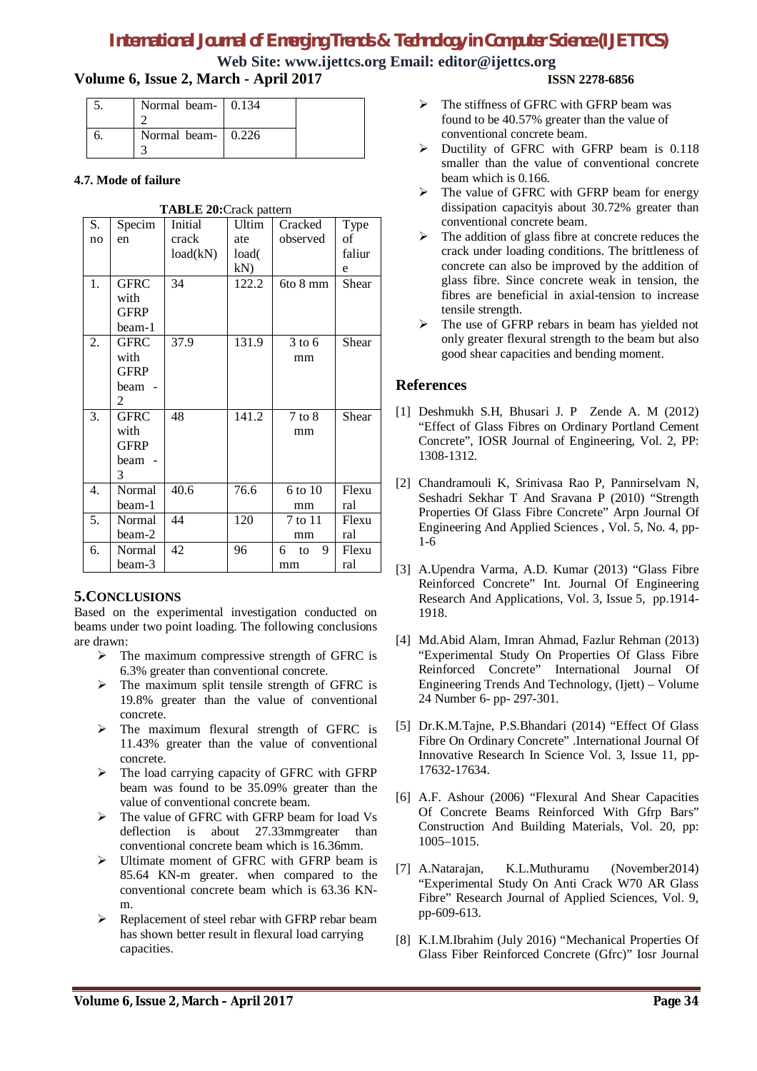**Web Site: [www.ijettcs.org](http://www.ijettcs.org) Email: [editor@ijettcs.org](mailto:editor@ijettcs.org)**

# **Volume 6, Issue 2, March - April 2017 ISSN 2278-6856**

| Normal beam- 0.134 |  |
|--------------------|--|
|                    |  |
| Normal beam- 0.226 |  |
|                    |  |

### **4.7. Mode of failure**

| <b>TABLE 20:</b> Crack pattern |             |          |       |              |        |  |  |  |
|--------------------------------|-------------|----------|-------|--------------|--------|--|--|--|
| S.                             | Specim      | Initial  | Ultim | Cracked      | Type   |  |  |  |
| no                             | en          | crack    | ate   | observed     | οf     |  |  |  |
|                                |             | load(kN) | load( |              | faliur |  |  |  |
|                                |             |          | kN    |              | e      |  |  |  |
| 1.                             | <b>GFRC</b> | 34       | 122.2 | 6to 8 mm     | Shear  |  |  |  |
|                                | with        |          |       |              |        |  |  |  |
|                                | <b>GFRP</b> |          |       |              |        |  |  |  |
|                                | beam-1      |          |       |              |        |  |  |  |
| 2.                             | <b>GFRC</b> | 37.9     | 131.9 | $3$ to 6     | Shear  |  |  |  |
|                                | with        |          |       | mm           |        |  |  |  |
|                                | <b>GFRP</b> |          |       |              |        |  |  |  |
|                                | beam        |          |       |              |        |  |  |  |
|                                | 2           |          |       |              |        |  |  |  |
| 3.                             | <b>GFRC</b> | 48       | 141.2 | $7$ to $8$   | Shear  |  |  |  |
|                                | with        |          |       | mm           |        |  |  |  |
|                                | <b>GFRP</b> |          |       |              |        |  |  |  |
|                                | beam        |          |       |              |        |  |  |  |
|                                | 3           |          |       |              |        |  |  |  |
| $\overline{4}$ .               | Normal      | 40.6     | 76.6  | 6 to 10      | Flexu  |  |  |  |
|                                | beam-1      |          |       | mm           | ral    |  |  |  |
| 5.                             | Normal      | 44       | 120   | 7 to 11      | Flexu  |  |  |  |
|                                | beam-2      |          |       | mm           | ral    |  |  |  |
| 6.                             | Normal      | 42       | 96    | 9<br>6<br>to | Flexu  |  |  |  |
|                                | beam-3      |          |       | mm           | ral    |  |  |  |

### **5.CONCLUSIONS**

Based on the experimental investigation conducted on beams under two point loading. The following conclusions are drawn:

- $\triangleright$  The maximum compressive strength of GFRC is 6.3% greater than conventional concrete.
- $\triangleright$  The maximum split tensile strength of GFRC is 19.8% greater than the value of conventional concrete.
- $\triangleright$  The maximum flexural strength of GFRC is 11.43% greater than the value of conventional concrete.
- $\triangleright$  The load carrying capacity of GFRC with GFRP beam was found to be 35.09% greater than the value of conventional concrete beam.
- $\triangleright$  The value of GFRC with GFRP beam for load Vs deflection is about 27.33mmgreater than conventional concrete beam which is 16.36mm.
- Ultimate moment of GFRC with GFRP beam is 85.64 KN-m greater. when compared to the conventional concrete beam which is 63.36 KNm.
- $\triangleright$  Replacement of steel rebar with GFRP rebar beam has shown better result in flexural load carrying capacities.

- $\triangleright$  The stiffness of GFRC with GFRP beam was found to be 40.57% greater than the value of conventional concrete beam.
- Ductility of GFRC with GFRP beam is 0.118 smaller than the value of conventional concrete beam which is 0.166.
- $\triangleright$  The value of GFRC with GFRP beam for energy dissipation capacityis about 30.72% greater than conventional concrete beam.
- $\triangleright$  The addition of glass fibre at concrete reduces the crack under loading conditions. The brittleness of concrete can also be improved by the addition of glass fibre. Since concrete weak in tension, the fibres are beneficial in axial-tension to increase tensile strength.
- $\triangleright$  The use of GFRP rebars in beam has yielded not only greater flexural strength to the beam but also good shear capacities and bending moment.

## **References**

- [1] Deshmukh S.H, Bhusari J. P Zende A. M (2012) "Effect of Glass Fibres on Ordinary Portland Cement Concrete", IOSR Journal of Engineering, Vol. 2, PP: 1308-1312.
- [2] Chandramouli K, Srinivasa Rao P, Pannirselvam N, Seshadri Sekhar T And Sravana P (2010) "Strength Properties Of Glass Fibre Concrete" Arpn Journal Of Engineering And Applied Sciences , Vol. 5, No. 4, pp-1-6
- [3] A.Upendra Varma, A.D. Kumar (2013) "Glass Fibre Reinforced Concrete" Int. Journal Of Engineering Research And Applications, Vol. 3, Issue 5, pp.1914- 1918.
- [4] Md.Abid Alam, Imran Ahmad, Fazlur Rehman (2013) "Experimental Study On Properties Of Glass Fibre Reinforced Concrete" International Journal Of Engineering Trends And Technology, (Ijett) – Volume 24 Number 6- pp- 297-301.
- [5] Dr.K.M.Tajne, P.S.Bhandari (2014) "Effect Of Glass Fibre On Ordinary Concrete" .International Journal Of Innovative Research In Science Vol. 3, Issue 11, pp-17632-17634.
- [6] A.F. Ashour (2006) "Flexural And Shear Capacities Of Concrete Beams Reinforced With Gfrp Bars" Construction And Building Materials, Vol. 20, pp: 1005–1015.
- [7] A.Natarajan, K.L.Muthuramu (November2014) "Experimental Study On Anti Crack W70 AR Glass Fibre" Research Journal of Applied Sciences, Vol. 9, pp-609-613.
- [8] K.I.M.Ibrahim (July 2016) "Mechanical Properties Of Glass Fiber Reinforced Concrete (Gfrc)" Iosr Journal